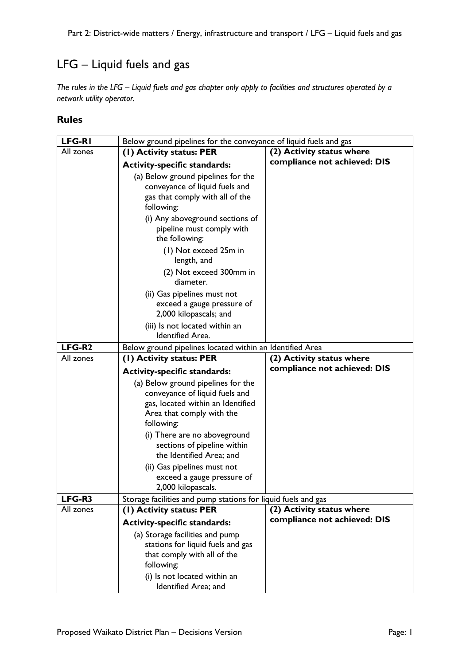## LFG – Liquid fuels and gas

*The rules in the LFG – Liquid fuels and gas chapter only apply to facilities and structures operated by a network utility operator.*

## **Rules**

| <b>LFG-RI</b>       | Below ground pipelines for the conveyance of liquid fuels and gas |                                                           |
|---------------------|-------------------------------------------------------------------|-----------------------------------------------------------|
| All zones           | (1) Activity status: PER                                          | (2) Activity status where                                 |
|                     | <b>Activity-specific standards:</b>                               | compliance not achieved: DIS                              |
|                     | (a) Below ground pipelines for the                                |                                                           |
|                     | conveyance of liquid fuels and                                    |                                                           |
|                     | gas that comply with all of the                                   |                                                           |
|                     | following:                                                        |                                                           |
|                     | (i) Any aboveground sections of                                   |                                                           |
|                     | pipeline must comply with                                         |                                                           |
|                     | the following:                                                    |                                                           |
|                     | (1) Not exceed 25m in                                             |                                                           |
|                     | length, and                                                       |                                                           |
|                     | (2) Not exceed 300mm in                                           |                                                           |
|                     | diameter.                                                         |                                                           |
|                     | (ii) Gas pipelines must not                                       |                                                           |
|                     | exceed a gauge pressure of                                        |                                                           |
|                     | 2,000 kilopascals; and                                            |                                                           |
|                     | (iii) Is not located within an<br><b>Identified Area.</b>         |                                                           |
|                     |                                                                   |                                                           |
| LFG-R2<br>All zones | Below ground pipelines located within an Identified Area          |                                                           |
|                     | (1) Activity status: PER                                          | (2) Activity status where<br>compliance not achieved: DIS |
|                     |                                                                   |                                                           |
|                     | <b>Activity-specific standards:</b>                               |                                                           |
|                     | (a) Below ground pipelines for the                                |                                                           |
|                     | conveyance of liquid fuels and                                    |                                                           |
|                     | gas, located within an Identified                                 |                                                           |
|                     | Area that comply with the                                         |                                                           |
|                     | following:                                                        |                                                           |
|                     | (i) There are no aboveground                                      |                                                           |
|                     | sections of pipeline within<br>the Identified Area; and           |                                                           |
|                     |                                                                   |                                                           |
|                     | (ii) Gas pipelines must not<br>exceed a gauge pressure of         |                                                           |
|                     | 2,000 kilopascals.                                                |                                                           |
| LFG-R3              | Storage facilities and pump stations for liquid fuels and gas     |                                                           |
| All zones           | (1) Activity status: PER                                          | (2) Activity status where                                 |
|                     | <b>Activity-specific standards:</b>                               | compliance not achieved: DIS                              |
|                     | (a) Storage facilities and pump                                   |                                                           |
|                     | stations for liquid fuels and gas                                 |                                                           |
|                     | that comply with all of the                                       |                                                           |
|                     | following:                                                        |                                                           |
|                     | (i) Is not located within an<br>Identified Area; and              |                                                           |